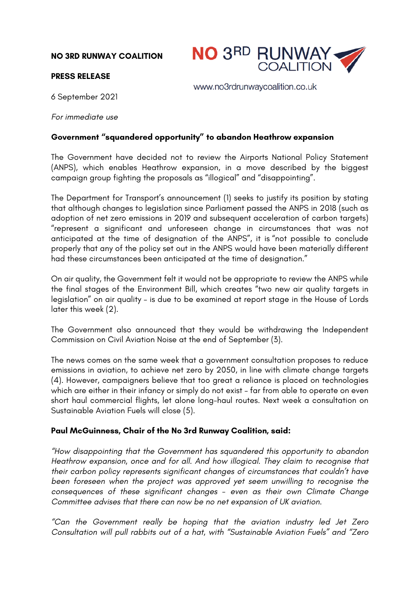**NO 3RD RUNWAY COALITION**



www.no3rdrunwaycoalition.co.uk

## **PRESS RELEASE**

6 September 2021

*For immediate use*

## **Government "squandered opportunity" to abandon Heathrow expansion**

The Government have decided not to review the Airports National Policy Statement (ANPS), which enables Heathrow expansion, in a move described by the biggest campaign group fighting the proposals as "illogical" and "disappointing".

The Department for Transport's announcement (1) seeks to justify its position by stating that although changes to legislation since Parliament passed the ANPS in 2018 (such as adoption of net zero emissions in 2019 and subsequent acceleration of carbon targets) "represent a significant and unforeseen change in circumstances that was not anticipated at the time of designation of the ANPS", it is "not possible to conclude properly that any of the policy set out in the ANPS would have been materially different had these circumstances been anticipated at the time of designation."

On air quality, the Government felt it would not be appropriate to review the ANPS while the final stages of the Environment Bill, which creates "two new air quality targets in legislation" on air quality – is due to be examined at report stage in the House of Lords later this week (2).

The Government also announced that they would be withdrawing the Independent Commission on Civil Aviation Noise at the end of September (3).

The news comes on the same week that a government consultation proposes to reduce emissions in aviation, to achieve net zero by 2050, in line with climate change targets (4). However, campaigners believe that too great a reliance is placed on technologies which are either in their infancy or simply do not exist – far from able to operate on even short haul commercial flights, let alone long-haul routes. Next week a consultation on Sustainable Aviation Fuels will close (5).

## **Paul McGuinness, Chair of the No 3rd Runway Coalition, said:**

*"How disappointing that the Government has squandered this opportunity to abandon Heathrow expansion, once and for all. And how illogical. They claim to recognise that their carbon policy represents significant changes of circumstances that couldn't have been foreseen when the project was approved yet seem unwilling to recognise the consequences of these significant changes - even as their own Climate Change Committee advises that there can now be no net expansion of UK aviation.* 

*"Can the Government really be hoping that the aviation industry led Jet Zero Consultation will pull rabbits out of a hat, with "Sustainable Aviation Fuels" and "Zero*